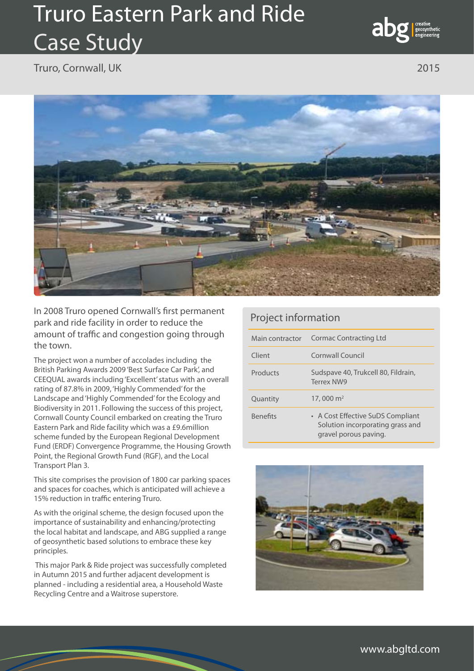## Truro Eastern Park and Ride Case Study



Truro, Cornwall, UK 2015



In 2008 Truro opened Cornwall's first permanent park and ride facility in order to reduce the amount of traffic and congestion going through the town.

The project won a number of accolades including the British Parking Awards 2009 'Best Surface Car Park', and CEEQUAL awards including 'Excellent' status with an overall rating of 87.8% in 2009, 'Highly Commended' for the Landscape and 'Highly Commended' for the Ecology and Biodiversity in 2011. Following the success of this project, Cornwall County Council embarked on creating the Truro Eastern Park and Ride facility which was a £9.6million scheme funded by the European Regional Development Fund (ERDF) Convergence Programme, the Housing Growth Point, the Regional Growth Fund (RGF), and the Local Transport Plan 3.

This site comprises the provision of 1800 car parking spaces and spaces for coaches, which is anticipated will achieve a 15% reduction in traffic entering Truro.

As with the original scheme, the design focused upon the importance of sustainability and enhancing/protecting the local habitat and landscape, and ABG supplied a range of geosynthetic based solutions to embrace these key principles.

 This major Park & Ride project was successfully completed in Autumn 2015 and further adjacent development is planned - including a residential area, a Household Waste Recycling Centre and a Waitrose superstore.

## Project information

| Main contractor | Cormac Contracting Ltd                                                                         |
|-----------------|------------------------------------------------------------------------------------------------|
| Client          | Cornwall Council                                                                               |
| Products        | Sudspave 40, Trukcell 80, Fildrain,<br><b>Terrex NW9</b>                                       |
| Quantity        | 17,000 $\rm m^2$                                                                               |
| <b>Benefits</b> | • A Cost Effective SuDS Compliant<br>Solution incorporating grass and<br>gravel porous paving. |